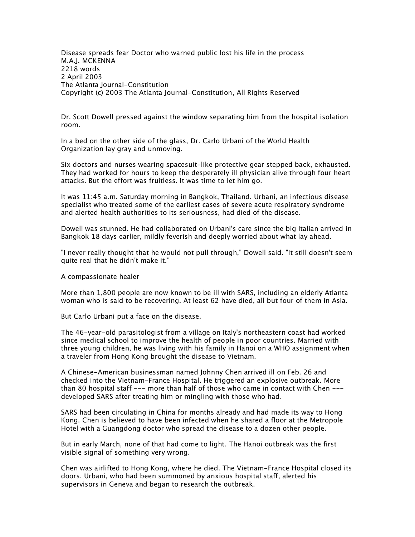*Disease spreads fear Doctor who warned public lost his life in the process M.A.J. MCKENNA 2218 words 2 April 2003 The Atlanta Journal-Constitution Copyright (c) 2003 The Atlanta Journal-Constitution, All Rights Reserved*

*Dr. Scott Dowell pressed against the window separating him from the hospital isolation room.*

*In a bed on the other side of the glass, Dr. Carlo Urbani of the World Health Organization lay gray and unmoving.*

*Six doctors and nurses wearing spacesuit-like protective gear stepped back, exhausted. They had worked for hours to keep the desperately ill physician alive through four heart attacks. But the effort was fruitless. It was time to let him go.*

*It was 11:45 a.m. Saturday morning in Bangkok, Thailand. Urbani, an infectious disease specialist who treated some of the earliest cases of severe acute respiratory syndrome and alerted health authorities to its seriousness, had died of the disease.*

*Dowell was stunned. He had collaborated on Urbani's care since the big Italian arrived in Bangkok 18 days earlier, mildly feverish and deeply worried about what lay ahead.*

*"I never really thought that he would not pull through," Dowell said. "It still doesn't seem quite real that he didn't make it."*

*A compassionate healer*

*More than 1,800 people are now known to be ill with SARS, including an elderly Atlanta woman who is said to be recovering. At least 62 have died, all but four of them in Asia.*

*But Carlo Urbani put a face on the disease.*

*The 46-year-old parasitologist from a village on Italy's northeastern coast had worked since medical school to improve the health of people in poor countries. Married with three young children, he was living with his family in Hanoi on a WHO assignment when a traveler from Hong Kong brought the disease to Vietnam.*

*A Chinese-American businessman named Johnny Chen arrived ill on Feb. 26 and checked into the Vietnam-France Hospital. He triggered an explosive outbreak. More than 80 hospital staff --- more than half of those who came in contact with Chen -- developed SARS after treating him or mingling with those who had.*

*SARS had been circulating in China for months already and had made its way to Hong Kong. Chen is believed to have been infected when he shared a floor at the Metropole Hotel with a Guangdong doctor who spread the disease to a dozen other people.*

*But in early March, none of that had come to light. The Hanoi outbreak was the first visible signal of something very wrong.*

*Chen was airlifted to Hong Kong, where he died. The Vietnam-France Hospital closed its doors. Urbani, who had been summoned by anxious hospital staff, alerted his supervisors in Geneva and began to research the outbreak.*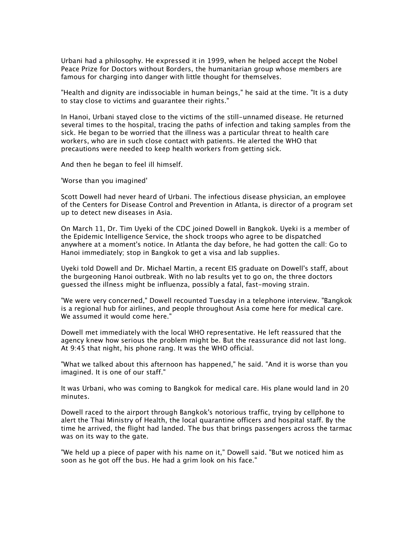*Urbani had a philosophy. He expressed it in 1999, when he helped accept the Nobel Peace Prize for Doctors without Borders, the humanitarian group whose members are famous for charging into danger with little thought for themselves.*

*"Health and dignity are indissociable in human beings," he said at the time. "It is a duty to stay close to victims and guarantee their rights."*

In Hanoi, Urbani stayed close to the victims of the still-unnamed disease. He returned *several times to the hospital, tracing the paths of infection and taking samples from the sick. He began to be worried that the illness was a particular threat to health care workers, who are in such close contact with patients. He alerted the WHO that precautions were needed to keep health workers from getting sick.*

*And then he began to feel ill himself.*

*'Worse than you imagined'*

*Scott Dowell had never heard of Urbani. The infectious disease physician, an employee of the Centers for Disease Control and Prevention in Atlanta, is director of a program set up to detect new diseases in Asia.*

*On March 11, Dr. Tim Uyeki of the CDC joined Dowell in Bangkok. Uyeki is a member of the Epidemic Intelligence Service, the shock troops who agree to be dispatched anywhere at a moment's notice. In Atlanta the day before, he had gotten the call: Go to Hanoi immediately; stop in Bangkok to get a visa and lab supplies.*

*Uyeki told Dowell and Dr. Michael Martin, a recent EIS graduate on Dowell's staff, about the burgeoning Hanoi outbreak. With no lab results yet to go on, the three doctors guessed the illness might be influenza, possibly a fatal, fast-moving strain.*

*"We were very concerned," Dowell recounted Tuesday in a telephone interview. "Bangkok is a regional hub for airlines, and people throughout Asia come here for medical care. We assumed it would come here."*

*Dowell met immediately with the local WHO representative. He left reassured that the agency knew how serious the problem might be. But the reassurance did not last long. At 9:45 that night, his phone rang. It was the WHO official.*

*"What we talked about this afternoon has happened," he said. "And it is worse than you imagined. It is one of our staff."*

*It was Urbani, who was coming to Bangkok for medical care. His plane would land in 20 minutes.*

*Dowell raced to the airport through Bangkok's notorious traffic, trying by cellphone to alert the Thai Ministry of Health, the local quarantine officers and hospital staff. By the time he arrived, the flight had landed. The bus that brings passengers across the tarmac was on its way to the gate.*

*"We held up a piece of paper with his name on it," Dowell said. "But we noticed him as soon as he got off the bus. He had a grim look on his face."*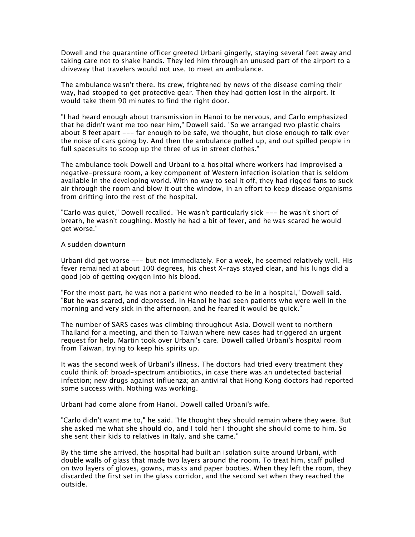*Dowell and the quarantine officer greeted Urbani gingerly, staying several feet away and taking care not to shake hands. They led him through an unused part of the airport to a driveway that travelers would not use, to meet an ambulance.*

*The ambulance wasn't there. Its crew, frightened by news of the disease coming their way, had stopped to get protective gear. Then they had gotten lost in the airport. It would take them 90 minutes to find the right door.*

*"I had heard enough about transmission in Hanoi to be nervous, and Carlo emphasized that he didn't want me too near him," Dowell said. "So we arranged two plastic chairs about 8 feet apart --- far enough to be safe, we thought, but close enough to talk over the noise of cars going by. And then the ambulance pulled up, and out spilled people in full spacesuits to scoop up the three of us in street clothes."*

*The ambulance took Dowell and Urbani to a hospital where workers had improvised a negative-pressure room, a key component of Western infection isolation that is seldom available in the developing world. With no way to seal it off, they had rigged fans to suck air through the room and blow it out the window, in an effort to keep disease organisms from drifting into the rest of the hospital.*

*"Carlo was quiet," Dowell recalled. "He wasn't particularly sick --- he wasn't short of breath, he wasn't coughing. Mostly he had a bit of fever, and he was scared he would get worse."*

## *A sudden downturn*

*Urbani did get worse --- but not immediately. For a week, he seemed relatively well. His fever remained at about 100 degrees, his chest X-rays stayed clear, and his lungs did a good job of getting oxygen into his blood.*

*"For the most part, he was not a patient who needed to be in a hospital," Dowell said. "But he was scared, and depressed. In Hanoi he had seen patients who were well in the morning and very sick in the afternoon, and he feared it would be quick."*

*The number of SARS cases was climbing throughout Asia. Dowell went to northern Thailand for a meeting, and then to Taiwan where new cases had triggered an urgent request for help. Martin took over Urbani's care. Dowell called Urbani's hospital room from Taiwan, trying to keep his spirits up.*

*It was the second week of Urbani's illness. The doctors had tried every treatment they could think of: broad-spectrum antibiotics, in case there was an undetected bacterial infection; new drugs against influenza; an antiviral that Hong Kong doctors had reported some success with. Nothing was working.*

*Urbani had come alone from Hanoi. Dowell called Urbani's wife.*

*"Carlo didn't want me to," he said. "He thought they should remain where they were. But she asked me what she should do, and I told her I thought she should come to him. So she sent their kids to relatives in Italy, and she came."*

*By the time she arrived, the hospital had built an isolation suite around Urbani, with double walls of glass that made two layers around the room. To treat him, staff pulled on two layers of gloves, gowns, masks and paper booties. When they left the room, they discarded the first set in the glass corridor, and the second set when they reached the outside.*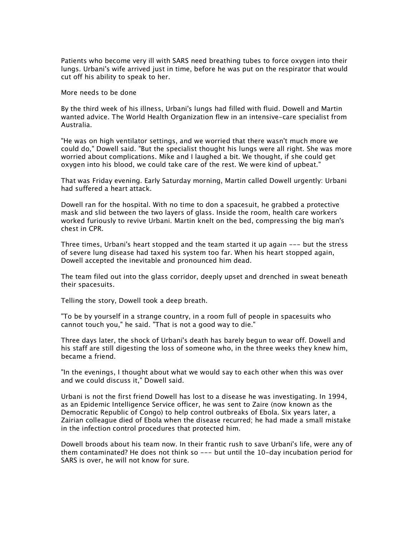*Patients who become very ill with SARS need breathing tubes to force oxygen into their lungs. Urbani's wife arrived just in time, before he was put on the respirator that would cut off his ability to speak to her.*

*More needs to be done*

*By the third week of his illness, Urbani's lungs had filled with fluid. Dowell and Martin wanted advice. The World Health Organization flew in an intensive-care specialist from Australia.*

*"He was on high ventilator settings, and we worried that there wasn't much more we could do," Dowell said. "But the specialist thought his lungs were all right. She was more worried about complications. Mike and I laughed a bit. We thought, if she could get oxygen into his blood, we could take care of the rest. We were kind of upbeat."*

*That was Friday evening. Early Saturday morning, Martin called Dowell urgently: Urbani had suffered a heart attack.*

*Dowell ran for the hospital. With no time to don a spacesuit, he grabbed a protective mask and slid between the two layers of glass. Inside the room, health care workers worked furiously to revive Urbani. Martin knelt on the bed, compressing the big man's chest in CPR.*

*Three times, Urbani's heart stopped and the team started it up again --- but the stress of severe lung disease had taxed his system too far. When his heart stopped again, Dowell accepted the inevitable and pronounced him dead.*

*The team filed out into the glass corridor, deeply upset and drenched in sweat beneath their spacesuits.*

*Telling the story, Dowell took a deep breath.*

*"To be by yourself in a strange country, in a room full of people in spacesuits who cannot touch you," he said. "That is not a good way to die."*

*Three days later, the shock of Urbani's death has barely begun to wear off. Dowell and his staff are still digesting the loss of someone who, in the three weeks they knew him, became a friend.*

*"In the evenings, I thought about what we would say to each other when this was over and we could discuss it," Dowell said.*

*Urbani is not the first friend Dowell has lost to a disease he was investigating. In 1994, as an Epidemic Intelligence Service officer, he was sent to Zaire (now known as the Democratic Republic of Congo) to help control outbreaks of Ebola. Six years later, a Zairian colleague died of Ebola when the disease recurred; he had made a small mistake in the infection control procedures that protected him.*

*Dowell broods about his team now. In their frantic rush to save Urbani's life, were any of them contaminated? He does not think so --- but until the 10-day incubation period for SARS is over, he will not know for sure.*